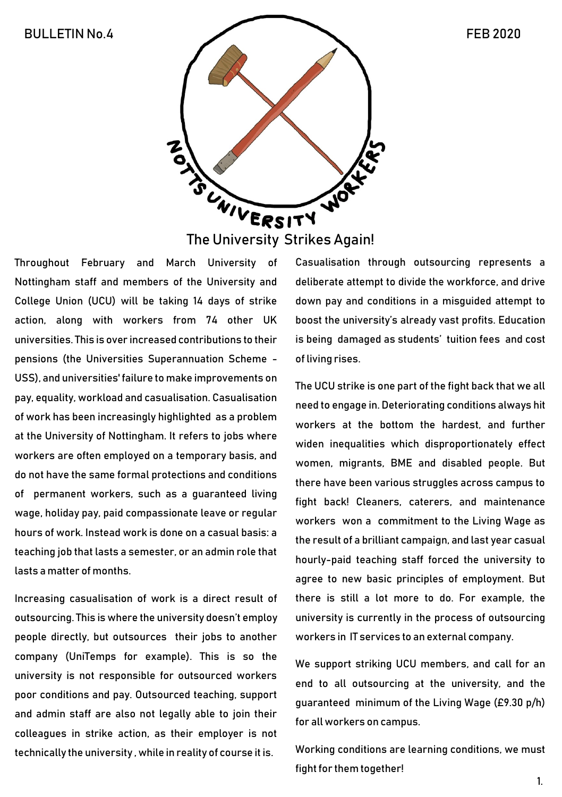

The University Strikes Again!

Throughout February and March University of Nottingham staff and members of the University and College Union (UCU) will be taking 14 days of strike action, along with workers from 74 other UK universities. This is over increased contributions to their pensions (the Universities Superannuation Scheme - USS), and universities' failure to make improvements on pay, equality, workload and casualisation. Casualisation of work has been increasingly highlighted as a problem at the University of Nottingham. It refers to jobs where workers are often employed on a temporary basis, and do not have the same formal protections and conditions of permanent workers, such as a guaranteed living wage, holiday pay, paid compassionate leave or regular hours of work. Instead work is done on a casual basis: a teaching job that lasts a semester, or an admin role that lasts a matter of months.

Increasing casualisation of work is a direct result of outsourcing. This is where the university doesn't employ people directly, but outsources their jobs to another company (UniTemps for example). This is so the university is not responsible for outsourced workers poor conditions and pay. Outsourced teaching, support and admin staff are also not legally able to join their colleagues in strike action, as their employer is not technically the university , while in reality of course it is.

Casualisation through outsourcing represents a deliberate attempt to divide the workforce, and drive down pay and conditions in a misguided attempt to boost the university's already vast profits. Education is being damaged as students' tuition fees and cost of living rises.

The UCU strike is one part of the fight back that we all need to engage in. Deteriorating conditions always hit workers at the bottom the hardest, and further widen inequalities which disproportionately effect women, migrants, BME and disabled people. But there have been various struggles across campus to fight back! Cleaners, caterers, and maintenance workers won a commitment to the Living Wage as the result of a brilliant campaign, and last year casual hourly-paid teaching staff forced the university to agree to new basic principles of employment. But there is still a lot more to do. For example, the university is currently in the process of outsourcing workers in IT services to an external company.

We support striking UCU members, and call for an end to all outsourcing at the university, and the guaranteed minimum of the Living Wage (£9.30 p/h) for all workers on campus.

Working conditions are learning conditions, we must fight for them together!